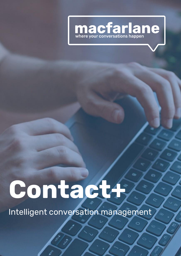

# **Contact+**

Intelligent conversation management

 $\circ$ 

১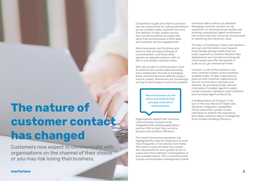Many businesses use the phone and email as their principal channels of

Customers now expect to communicate with organisations on the channel of their choice or you may risk losing their business.

### communication **The nature of customer contact has changed**

Competition to gain and retain customers has set a benchmark by making interactions across multiple media channels the norm. This delivery of high-quality service has now led customers to expect the same from all businesses in both sales and customer service engagements.

Many businesses use the phone and email as their principal channels of communication, and these often operate as separate systems with no link or coordination between them.

With new modes of communication such as webchat and social media becoming more widespread, the task of managing these channels becomes difficult using a manual system. Businesses are increasingly turning to technology to solve this problem.

Organisations expect their customer communication systems to be integrated with existing applications such as CRM so that they can drive process and workflow efficiency.

> The recent Coronavirus pandemic has highlighted the need for employees to work more frequently, if not entirely from home. This need to work remotely has created the requirement for even greater levels of supervision than had been contemplated, or was available before. This is something that a good communication management system

should be able to deliver as standard. Managing customer contact can be expensive, so resolving issues quickly and avoiding unnecessary agent involvement can ensure that your resources are focussed on delivering the maximum value.

The days of investing in fixed-cost solutions are over and the trend is now towards more flexible pricing models that can easily respond to customer demand. New deployments are now almost exclusively cloud-based and offer the benefit of a pay as you go commercial model.

Contact+ is one of the easiest to use omni-channel contact centre solutions available today. It helps organisations improve their customer experience by the use of innovative concepts and features. By providing timely relevant information it enables agents to easily handle enquiries, leading to rapid resolution and increased agent productivity.

A leading feature of Contact+ is its out-of-the-box Microsoft Teams and Dynamics integration capabilities. These reduce the number of user interfaces to simplify the experience, and utilise customer data to intelligently drive contact handling efficiency.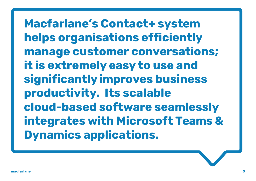**Macfarlane's Contact+ system helps organisations efficiently manage customer conversations; it is extremely easy to use and significantlyimproves business productivity. Its scalable cloud-based software seamlessly integrates with Microsoft Teams & Dynamics applications.**

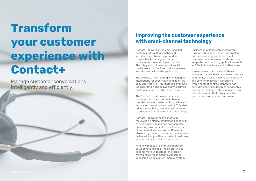### **Improving the customer experience with omni-channel technology**

## **Transform your customer experience with Contact+**

Manage customer conversations intelligently and efficiently.

Contact+ delivers a true omni-channel customer interaction capability. It was developed from the ground up to specifically manage customer conversations over multiple channels. The integration of voice, email, social media, webchat, SMS and IVR is seamless and standard within the application.

The Contact+ customer experience is consistent across all contact channels, thereby reducing customer frustration and enhancing overall service quality. This also drives productivity by enabling interactions to be handled more quickly and accurately.

The process of configuring and managing interactions for supervisors and agents is easy and intuitive. This improves employee job satisfaction and allows staff to service customers more quickly and effectively.

Contact+ delivers these benefits by focussing on clarity, context and continuity to help simplify an increasingly complex operating environment. The selective use of automated services within Contact+ allows a high level of customer service to be delivered, along with an excellent customer experience using minimal resources.

With new modes of communication such as webchat and social media starting to become more widespread, the task of managing all these channels becomes impossible using a purely manual system.

Businesses will therefore increasingly turn to technology to solve this problem. Furthermore, organisations expect customer communication systems to be integrated with existing applications such as CRM to immediately add further value.

It seems clear that the use of these advanced capabilities in the wider business community is set to become as necessary and commonplace as it currently is within contact centres. Contact+ has been designed specifically to service this emerging requirement for a genuine omnichannel solution that is fully scalable both in terms of size and featureset.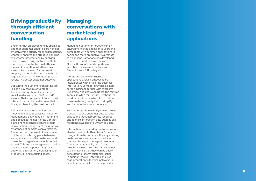### **Driving productivity through efficient conversation handling**

Ensuring that employee time is optimised and that customer enquiries are handled effectively is a priority for all organisations. Contact+ ensures the effective handling of customer interactions by applying business rules using customer data to map the enquiry to the most efficient means of resolution. Whether it is a sales call or the need for technical support, routing to the person with the requisite skills to handle the request results in a better customer outcome.

Capturing the customer contact history is also a key feature of Contact+. The deep integration of voice, email, social media, webchat, SMS and IVR ensures that a complete picture of past interactions can be neatly presented to the agent handling the next contact.

This is embodied in the unique and innovative concept called Conversation Management, developed by Macfarlane and applied at the heart of its Contact+ omni -channel contact centre system. Conversation Management maintains an awareness of complete conversations. These can be composed of any number of interactions taking place between an organisation and its customers and presented to agents as a single unified thread. This empowers agents to provide quick relevant responses, improving customer satisfaction, increasing agent productivity and reducing costs.

### **Managing conversations with market leading applications**

Managing customer interactions in an environment that is familiar to usersand compatible with common applications is easier and more productive. To promote this concept Macfarlane has developed Contact+ to work seamlessly with Microsoft products and in particular with Teams as a user interface and Dynamics as a CRM integration.

Integrating easily with Microsoft applications allows Contact+ to be implemented with little or no business interruption. Contact+ provides a single screen interface for use with Microsoft Dynamics, and users can utilise the familiar Teams desktop for Contact+ without the need for another desktop client. Both of these features greatly help to simplify and improve the user experience.

Further integration with Dynamics allows Contact+ to use customer data to route calls to the most appropriate resource and to make interaction data such as call recordings available to Dynamics users.

Information requested by customers can also be provided to them from Dynamics using automated services, thereby enabling customer self -service which reduces the need for expensive agent resources. Contact+ compatibility with Active Directory allows the status of colleagues to be known so that they can be easily consulted to resolve customer issues. In addition, the SIP interface ensures that integration with voice networks is seamless across all telephony providers.

**9**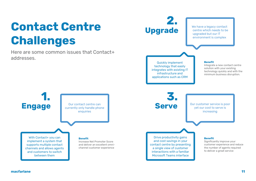## **Contact Centre Challenges**

Here are some common issues that Contact+ addresses.

**2. Upgrade**

#### **Benefit**

Integrate a new contact centre solution with your existing technology quickly and with the minimum business disruption.

#### **Benefit**

We have a legacy contact centre which needs to be upgraded but our IT environment is complex



Significantly improve your customer experience and reduce the number of agents required to deliver a great service

#### **macfarlane 11**



Quickly implement technology that easily integrates with existing IT infrastructure and applications such as CRM

> Our customer service is poor yet our cost to serve is increasing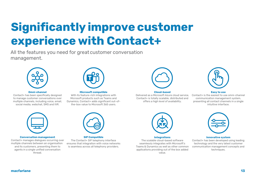## **Significantly improve customer experience with Contact+**

All the features you need for greatcustomer conversation management.



#### **Omni-channel**

Contact+ has been specifically designed to manage customer conversations over multiple channels, including voice, email, social media, webchat, SMS and IVR.



#### **Microsoft compatible**

With its feature-rich integrations with Microsoft products such as Teams and Dynamics, Contact+ adds significant out-ofthe-box value to Microsoft 365 users.



#### **Cloud-based**

The scalable cloud-based software seamlessly integrates with Microsoft's Teams & Dynamics as well as other common applications providing out of the box added value. Contact+ has been developed using leading technology and the very latest customer communication management concepts and techniques.

#### **Easy to use**



Delivered as a Microsoft Azure cloud service, Contact+ is totally scalable, distributed and offers a high level of availability. Contact+ is the easiest to use omni-channel communication management system, presenting all contact channels in a single intuitive interface.



#### **Conversation management**

Contact+ manages dialogues occurring over multiple channels between an organisation and its customers, presenting them to agents in a single unified conversation thread.



#### **SIP Compatible** The Contact+ SIP telephony interface ensures that integration with voice networks is seamless across all telephony providers.



#### **Integrations**

**Innovative system**

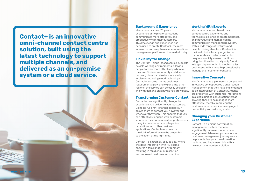**Contact+ is an innovative omni-channel contact centre solution, built using the latest technology to support multiple channels, and delivered as an on-premise system or a cloud service.**

#### **Background & Experience**

Macfarlane has over 25 years' experience of helping organisations communicate more effectivelyand productively with their customers. This knowledge and experience has been used to create Contact+, the most innovative and easy to use communications management platform on the market today.

#### **Flexibility for Change**

The Contact+ cloud-based service supports flexible working environments, allowing people to work more effectively wherever they are. Business continuity and disaster recovery plans can also be more easily implemented using cloud technology. Contact+ ensures that as customer requirements grow and expand into other regions, the service can be easily scaled inline with demand on a pay as you grow basis.

#### **Transforming Customer Contact**

Contact+ can significantly change the experience you deliver to your customers. Using its full omni-channel capability it allows them to contact you however and whenever they wish. This ensures that you can effectively engage with customers whatever their communication preferences. Using its comprehensive integration capabilities with other business applications, Contact+ ensures that the right information can be presented to the agent at the right time.

Contact+ is extremely easy to use, where the deep integration with MS Teams ensures a familiar agent environment resulting in rapid enquiry resolution and improved customer satisfaction.

#### **Working With Experts**

Macfarlane have combined their contact centre experience and technical excellence to create Contact+, an innovative and market leading communication management system. With a wide range of features and flexible pricing structure, Contact+ is the ideal choice for any organisation that operates a contact centre. Its unique scalability means that it can bring functionality, usually only found in larger deployments, to much smaller businesses with a need to professionally manage their customer contacts.

#### **Innovative Concepts**

Macfarlane have a pioneered a unique and innovative concept called Conversation Management that they have implemented as an integral part of Contact+. Agents are presented with customer interactions in a single unified conversation thread allowing these to be managed more effectively, thereby improving the customer experience, increasing agent productivity and reducing costs.

#### **Changing your Customer Experience**

Contact+ is a unique conversation management system that can significantly improve your customer engagement. Wherever you are in your customer management journey we can help you define your transformation roadmap and implement this with a new customer contact solution.